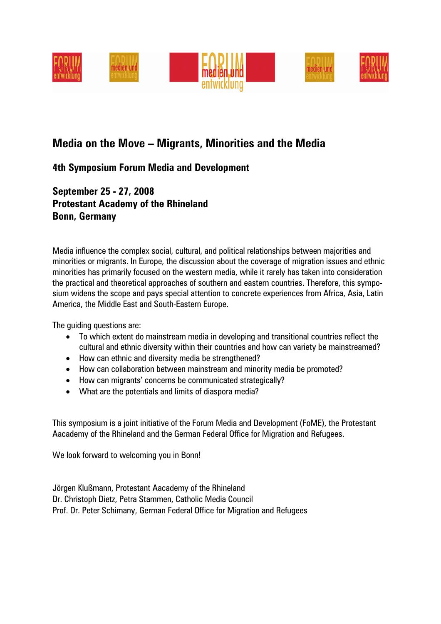

## **Media on the Move – Migrants, Minorities and the Media**

### **4th Symposium Forum Media and Development**

**September 25 - 27, 2008 Protestant Academy of the Rhineland Bonn, Germany** 

Media influence the complex social, cultural, and political relationships between majorities and minorities or migrants. In Europe, the discussion about the coverage of migration issues and ethnic minorities has primarily focused on the western media, while it rarely has taken into consideration the practical and theoretical approaches of southern and eastern countries. Therefore, this symposium widens the scope and pays special attention to concrete experiences from Africa, Asia, Latin America, the Middle East and South-Eastern Europe.

The guiding questions are:

- To which extent do mainstream media in developing and transitional countries reflect the cultural and ethnic diversity within their countries and how can variety be mainstreamed?
- How can ethnic and diversity media be strengthened?
- How can collaboration between mainstream and minority media be promoted?
- How can migrants' concerns be communicated strategically?
- What are the potentials and limits of diaspora media?

This symposium is a joint initiative of the Forum Media and Development (FoME), the Protestant Aacademy of the Rhineland and the German Federal Office for Migration and Refugees.

We look forward to welcoming you in Bonn!

Jörgen Klußmann, Protestant Aacademy of the Rhineland Dr. Christoph Dietz, Petra Stammen, Catholic Media Council Prof. Dr. Peter Schimany, German Federal Office for Migration and Refugees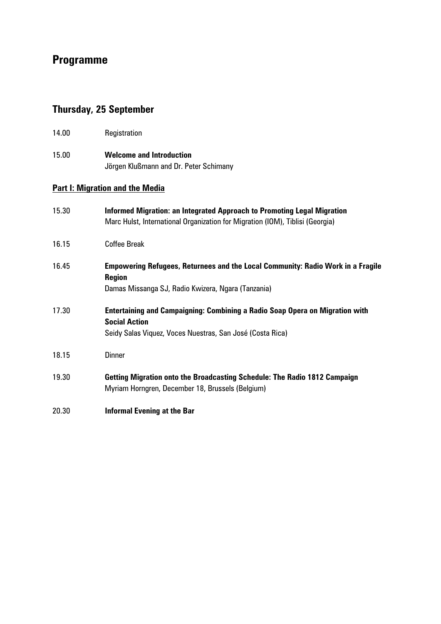# **Programme**

# **Thursday, 25 September**

| 14.00                                  | Registration                                                                                                                                                             |  |
|----------------------------------------|--------------------------------------------------------------------------------------------------------------------------------------------------------------------------|--|
| 15.00                                  | <b>Welcome and Introduction</b><br>Jörgen Klußmann and Dr. Peter Schimany                                                                                                |  |
| <b>Part I: Migration and the Media</b> |                                                                                                                                                                          |  |
| 15.30                                  | Informed Migration: an Integrated Approach to Promoting Legal Migration<br>Marc Hulst, International Organization for Migration (IOM), Tiblisi (Georgia)                 |  |
| 16.15                                  | <b>Coffee Break</b>                                                                                                                                                      |  |
| 16.45                                  | Empowering Refugees, Returnees and the Local Community: Radio Work in a Fragile<br><b>Region</b><br>Damas Missanga SJ, Radio Kwizera, Ngara (Tanzania)                   |  |
| 17.30                                  | <b>Entertaining and Campaigning: Combining a Radio Soap Opera on Migration with</b><br><b>Social Action</b><br>Seidy Salas Viquez, Voces Nuestras, San José (Costa Rica) |  |
| 18.15                                  | <b>Dinner</b>                                                                                                                                                            |  |
| 19.30                                  | Getting Migration onto the Broadcasting Schedule: The Radio 1812 Campaign<br>Myriam Horngren, December 18, Brussels (Belgium)                                            |  |
| 20.30                                  | <b>Informal Evening at the Bar</b>                                                                                                                                       |  |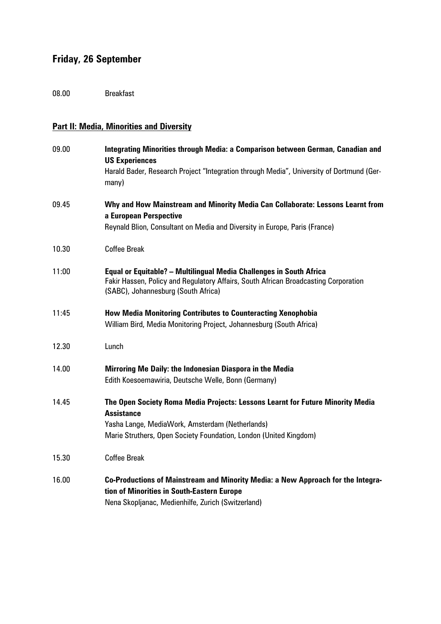# **Friday, 26 September**

08.00 Breakfast

## **Part II: Media, Minorities and Diversity**

| 09.00 | Integrating Minorities through Media: a Comparison between German, Canadian and<br><b>US Experiences</b>                                                                                          |
|-------|---------------------------------------------------------------------------------------------------------------------------------------------------------------------------------------------------|
|       | Harald Bader, Research Project "Integration through Media", University of Dortmund (Ger-<br>many)                                                                                                 |
| 09.45 | Why and How Mainstream and Minority Media Can Collaborate: Lessons Learnt from<br>a European Perspective                                                                                          |
|       | Reynald Blion, Consultant on Media and Diversity in Europe, Paris (France)                                                                                                                        |
| 10.30 | <b>Coffee Break</b>                                                                                                                                                                               |
| 11:00 | Equal or Equitable? - Multilingual Media Challenges in South Africa<br>Fakir Hassen, Policy and Regulatory Affairs, South African Broadcasting Corporation<br>(SABC), Johannesburg (South Africa) |
| 11:45 | <b>How Media Monitoring Contributes to Counteracting Xenophobia</b><br>William Bird, Media Monitoring Project, Johannesburg (South Africa)                                                        |
| 12.30 | Lunch                                                                                                                                                                                             |
| 14.00 | Mirroring Me Daily: the Indonesian Diaspora in the Media<br>Edith Koesoemawiria, Deutsche Welle, Bonn (Germany)                                                                                   |
| 14.45 | The Open Society Roma Media Projects: Lessons Learnt for Future Minority Media<br><b>Assistance</b><br>Yasha Lange, MediaWork, Amsterdam (Netherlands)                                            |
|       | Marie Struthers, Open Society Foundation, London (United Kingdom)                                                                                                                                 |
| 15.30 | <b>Coffee Break</b>                                                                                                                                                                               |
| 16.00 | Co-Productions of Mainstream and Minority Media: a New Approach for the Integra-<br>tion of Minorities in South-Eastern Europe<br>Nena Skopljanac, Medienhilfe, Zurich (Switzerland)              |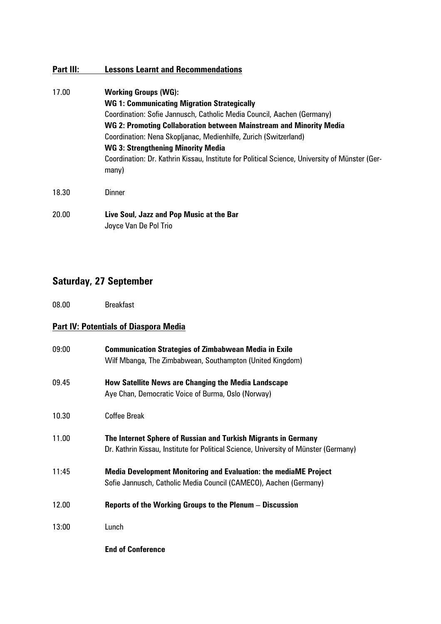### **Part III: Lessons Learnt and Recommendations**

- 17.00 **Working Groups (WG): WG 1: Communicating Migration Strategically**  Coordination: Sofie Jannusch, Catholic Media Council, Aachen (Germany) **WG 2: Promoting Collaboration between Mainstream and Minority Media**  Coordination: Nena Skopljanac, Medienhilfe, Zurich (Switzerland) **WG 3: Strengthening Minority Media**  Coordination: Dr. Kathrin Kissau, Institute for Political Science, University of Münster (Germany) 18.30 Dinner 20.00 **Live Soul, Jazz and Pop Music at the Bar**
- Joyce Van De Pol Trio

### **Saturday, 27 September**

08.00 Breakfast

### **Part IV: Potentials of Diaspora Media**

| 09:00 | <b>Communication Strategies of Zimbabwean Media in Exile</b><br>Wilf Mbanga, The Zimbabwean, Southampton (United Kingdom)                              |
|-------|--------------------------------------------------------------------------------------------------------------------------------------------------------|
| 09.45 | How Satellite News are Changing the Media Landscape<br>Aye Chan, Democratic Voice of Burma, Oslo (Norway)                                              |
| 10.30 | <b>Coffee Break</b>                                                                                                                                    |
| 11.00 | The Internet Sphere of Russian and Turkish Migrants in Germany<br>Dr. Kathrin Kissau, Institute for Political Science, University of Münster (Germany) |
| 11:45 | <b>Media Development Monitoring and Evaluation: the mediaME Project</b><br>Sofie Jannusch, Catholic Media Council (CAMECO), Aachen (Germany)           |
| 12.00 | Reports of the Working Groups to the Plenum - Discussion                                                                                               |
| 13:00 | Lunch                                                                                                                                                  |
|       | <b>End of Conference</b>                                                                                                                               |